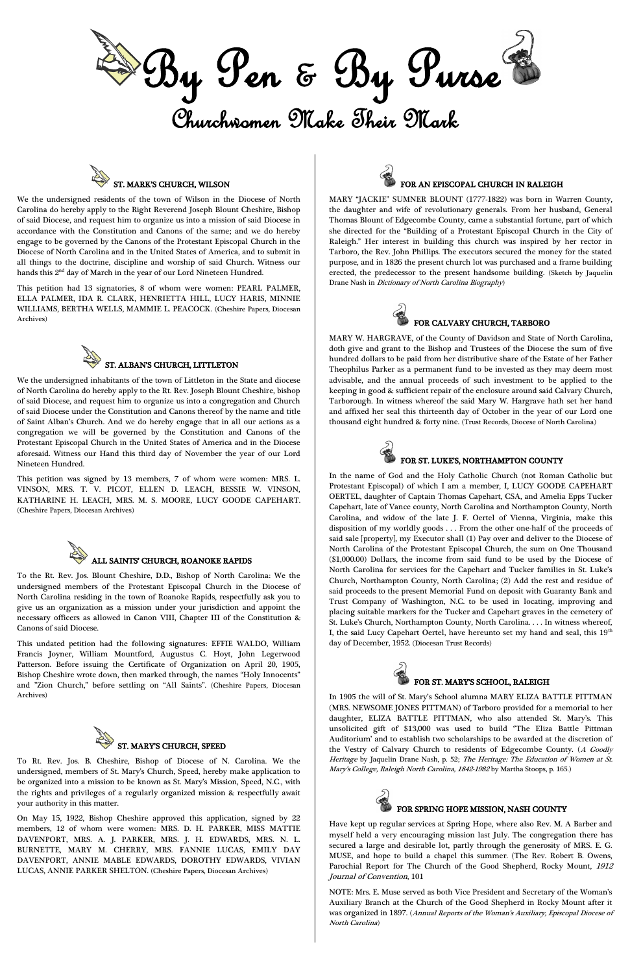

We the undersigned residents of the town of Wilson in the Diocese of North Carolina do hereby apply to the Right Reverend Joseph Blount Cheshire, Bishop of said Diocese, and request him to organize us into a mission of said Diocese in accordance with the Constitution and Canons of the same; and we do hereby engage to be governed by the Canons of the Protestant Episcopal Church in the Diocese of North Carolina and in the United States of America, and to submit in all things to the doctrine, discipline and worship of said Church. Witness our hands this 2<sup>nd</sup> day of March in the year of our Lord Nineteen Hundred.



This petition had 13 signatories, 8 of whom were women: PEARL PALMER, ELLA PALMER, IDA R. CLARK, HENRIETTA HILL, LUCY HARIS, MINNIE WILLIAMS, BERTHA WELLS, MAMMIE L. PEACOCK. (Cheshire Papers, Diocesan Archives)



We the undersigned inhabitants of the town of Littleton in the State and diocese of North Carolina do hereby apply to the Rt. Rev. Joseph Blount Cheshire, bishop of said Diocese, and request him to organize us into a congregation and Church of said Diocese under the Constitution and Canons thereof by the name and title of Saint Alban's Church. And we do hereby engage that in all our actions as a congregation we will be governed by the Constitution and Canons of the Protestant Episcopal Church in the United States of America and in the Diocese aforesaid. Witness our Hand this third day of November the year of our Lord Nineteen Hundred.

This petition was signed by 13 members, 7 of whom were women: MRS. L. VINSON, MRS. T. V. PICOT, ELLEN D. LEACH, BESSIE W. VINSON, KATHARINE H. LEACH, MRS. M. S. MOORE, LUCY GOODE CAPEHART. (Cheshire Papers, Diocesan Archives)



To the Rt. Rev. Jos. Blount Cheshire, D.D., Bishop of North Carolina: We the undersigned members of the Protestant Episcopal Church in the Diocese of North Carolina residing in the town of Roanoke Rapids, respectfully ask you to give us an organization as a mission under your jurisdiction and appoint the necessary officers as allowed in Canon VIII, Chapter III of the Constitution & Canons of said Diocese.

This undated petition had the following signatures: EFFIE WALDO, William Francis Joyner, William Mountford, Augustus C. Hoyt, John Legerwood Patterson. Before issuing the Certificate of Organization on April 20, 1905, Bishop Cheshire wrote down, then marked through, the names "Holy Innocents" and "Zion Church," before settling on "All Saints". (Cheshire Papers, Diocesan Archives)



To Rt. Rev. Jos. B. Cheshire, Bishop of Diocese of N. Carolina. We the undersigned, members of St. Mary's Church, Speed, hereby make application to be organized into a mission to be known as St. Mary's Mission, Speed, N.C., with the rights and privileges of a regularly organized mission & respectfully await your authority in this matter.

On May 15, 1922, Bishop Cheshire approved this application, signed by 22 members, 12 of whom were women: MRS. D. H. PARKER, MISS MATTIE DAVENPORT, MRS. A. J. PARKER, MRS. J. H. EDWARDS, MRS. N. L. BURNETTE, MARY M. CHERRY, MRS. FANNIE LUCAS, EMILY DAY DAVENPORT, ANNIE MABLE EDWARDS, DOROTHY EDWARDS, VIVIAN LUCAS, ANNIE PARKER SHELTON. (Cheshire Papers, Diocesan Archives)



MARY "JACKIE" SUMNER BLOUNT (1777-1822) was born in Warren County, the daughter and wife of revolutionary generals. From her husband, General Thomas Blount of Edgecombe County, came a substantial fortune, part of which she directed for the "Building of a Protestant Episcopal Church in the City of Raleigh." Her interest in building this church was inspired by her rector in Tarboro, the Rev. John Phillips. The executors secured the money for the stated purpose, and in 1826 the present church lot was purchased and a frame building erected, the predecessor to the present handsome building. (Sketch by Jaquelin Drane Nash in Dictionary of North Carolina Biography)



MARY W. HARGRAVE, of the County of Davidson and State of North Carolina, doth give and grant to the Bishop and Trustees of the Diocese the sum of five hundred dollars to be paid from her distributive share of the Estate of her Father Theophilus Parker as a permanent fund to be invested as they may deem most advisable, and the annual proceeds of such investment to be applied to the keeping in good & sufficient repair of the enclosure around said Calvary Church, Tarborough. In witness whereof the said Mary W. Hargrave hath set her hand and affixed her seal this thirteenth day of October in the year of our Lord one thousand eight hundred & forty nine. (Trust Records, Diocese of North Carolina)



### FOR ST. LUKE'S, NORTHAMPTON COUNTY

In the name of God and the Holy Catholic Church (not Roman Catholic but Protestant Episcopal) of which I am a member, I, LUCY GOODE CAPEHART OERTEL, daughter of Captain Thomas Capehart, CSA, and Amelia Epps Tucker Capehart, late of Vance county, North Carolina and Northampton County, North Carolina, and widow of the late J. F. Oertel of Vienna, Virginia, make this disposition of my worldly goods . . . From the other one-half of the proceeds of said sale [property], my Executor shall (1) Pay over and deliver to the Diocese of North Carolina of the Protestant Episcopal Church, the sum on One Thousand (\$1,000.00) Dollars, the income from said fund to be used by the Diocese of North Carolina for services for the Capehart and Tucker families in St. Luke's Church, Northampton County, North Carolina; (2) Add the rest and residue of said proceeds to the present Memorial Fund on deposit with Guaranty Bank and Trust Company of Washington, N.C. to be used in locating, improving and placing suitable markers for the Tucker and Capehart graves in the cemetery of St. Luke's Church, Northampton County, North Carolina. . . . In witness whereof, I, the said Lucy Capehart Oertel, have hereunto set my hand and seal, this  $19<sup>th</sup>$ day of December, 1952. (Diocesan Trust Records)



In 1905 the will of St. Mary's School alumna MARY ELIZA BATTLE PITTMAN (MRS. NEWSOME JONES PITTMAN) of Tarboro provided for a memorial to her

daughter, ELIZA BATTLE PITTMAN, who also attended St. Mary's. This unsolicited gift of \$13,000 was used to build ''The Eliza Battle Pittman Auditorium' and to establish two scholarships to be awarded at the discretion of the Vestry of Calvary Church to residents of Edgecombe County. (A Goodly Heritage by Jaquelin Drane Nash, p. 52; The Heritage: The Education of Women at St. Mary's College, Raleigh North Carolina, 1842-1982 by Martha Stoops, p. 165.)



# FOR SPRING HOPE MISSION, NASH COUNTY

Have kept up regular services at Spring Hope, where also Rev. M. A Barber and myself held a very encouraging mission last July. The congregation there has secured a large and desirable lot, partly through the generosity of MRS. E. G. MUSE, and hope to build a chapel this summer. (The Rev. Robert B. Owens, Parochial Report for The Church of the Good Shepherd, Rocky Mount, <sup>1912</sup> Journal of Convention, 101

NOTE: Mrs. E. Muse served as both Vice President and Secretary of the Woman's Auxiliary Branch at the Church of the Good Shepherd in Rocky Mount after it was organized in 1897. (Annual Reports of the Woman's Auxiliary, Episcopal Diocese o<sup>f</sup> North Carolina)